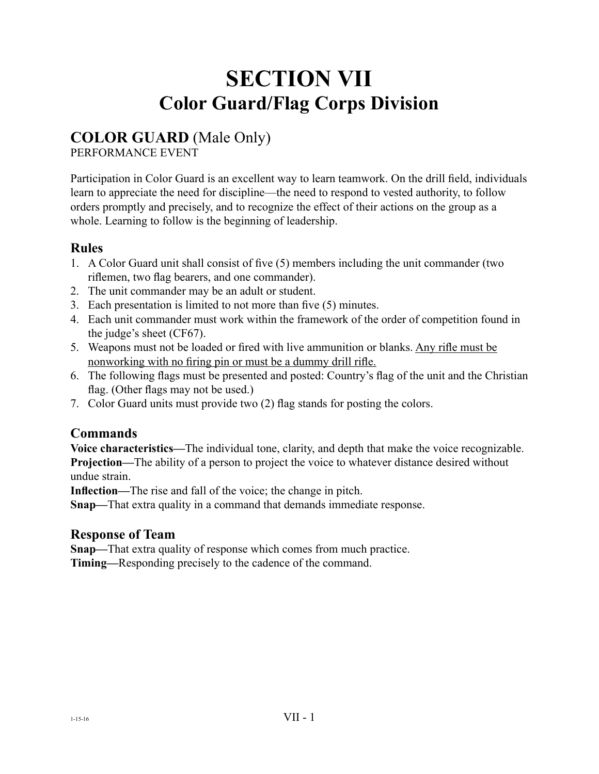# **SECTION VII Color Guard/Flag Corps Division**

### **COLOR GUARD** (Male Only)

PERFORMANCE EVENT

Participation in Color Guard is an excellent way to learn teamwork. On the drill field, individuals learn to appreciate the need for discipline—the need to respond to vested authority, to follow orders promptly and precisely, and to recognize the effect of their actions on the group as a whole. Learning to follow is the beginning of leadership.

### **Rules**

- 1. A Color Guard unit shall consist of five (5) members including the unit commander (two riflemen, two flag bearers, and one commander).
- 2. The unit commander may be an adult or student.
- 3. Each presentation is limited to not more than five (5) minutes.
- 4. Each unit commander must work within the framework of the order of competition found in the judge's sheet (CF67).
- 5. Weapons must not be loaded or fired with live ammunition or blanks. Any rifle must be nonworking with no firing pin or must be a dummy drill rifle.
- 6. The following flags must be presented and posted: Country's flag of the unit and the Christian flag. (Other flags may not be used.)
- 7. Color Guard units must provide two (2) flag stands for posting the colors.

### **Commands**

**Voice characteristics—**The individual tone, clarity, and depth that make the voice recognizable. **Projection—**The ability of a person to project the voice to whatever distance desired without undue strain.

**Inflection—**The rise and fall of the voice; the change in pitch.

**Snap—**That extra quality in a command that demands immediate response.

### **Response of Team**

**Snap—**That extra quality of response which comes from much practice.

**Timing—**Responding precisely to the cadence of the command.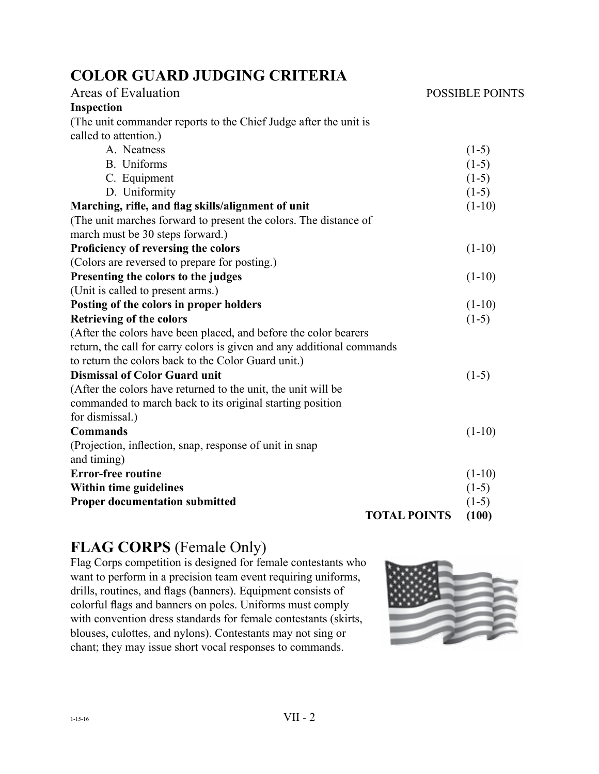# **COLOR GUARD JUDGING CRITERIA**

| Areas of Evaluation                                                    | <b>POSSIBLE POINTS</b> |
|------------------------------------------------------------------------|------------------------|
| <b>Inspection</b>                                                      |                        |
| (The unit commander reports to the Chief Judge after the unit is       |                        |
| called to attention.)                                                  |                        |
| A. Neatness                                                            | $(1-5)$                |
| B. Uniforms                                                            | $(1-5)$                |
| C. Equipment                                                           | $(1-5)$                |
| D. Uniformity                                                          | $(1-5)$                |
| Marching, rifle, and flag skills/alignment of unit                     | $(1-10)$               |
| (The unit marches forward to present the colors. The distance of       |                        |
| march must be 30 steps forward.)                                       |                        |
| Proficiency of reversing the colors                                    | $(1-10)$               |
| (Colors are reversed to prepare for posting.)                          |                        |
| Presenting the colors to the judges                                    | $(1-10)$               |
| (Unit is called to present arms.)                                      |                        |
| Posting of the colors in proper holders                                | $(1-10)$               |
| <b>Retrieving of the colors</b>                                        | $(1-5)$                |
| (After the colors have been placed, and before the color bearers       |                        |
| return, the call for carry colors is given and any additional commands |                        |
| to return the colors back to the Color Guard unit.)                    |                        |
| <b>Dismissal of Color Guard unit</b>                                   | $(1-5)$                |
| (After the colors have returned to the unit, the unit will be          |                        |
| commanded to march back to its original starting position              |                        |
| for dismissal.)                                                        |                        |
| <b>Commands</b>                                                        | $(1-10)$               |
| (Projection, inflection, snap, response of unit in snap                |                        |
| and timing)                                                            |                        |
| <b>Error-free routine</b>                                              | $(1-10)$               |
| Within time guidelines                                                 | $(1-5)$                |
| <b>Proper documentation submitted</b>                                  | $(1-5)$                |
| <b>TOTAL POINTS</b>                                                    | (100)                  |

# **FLAG CORPS** (Female Only)

Flag Corps competition is designed for female contestants who want to perform in a precision team event requiring uniforms, drills, routines, and flags (banners). Equipment consists of colorful flags and banners on poles. Uniforms must comply with convention dress standards for female contestants (skirts, blouses, culottes, and nylons). Contestants may not sing or chant; they may issue short vocal responses to commands.